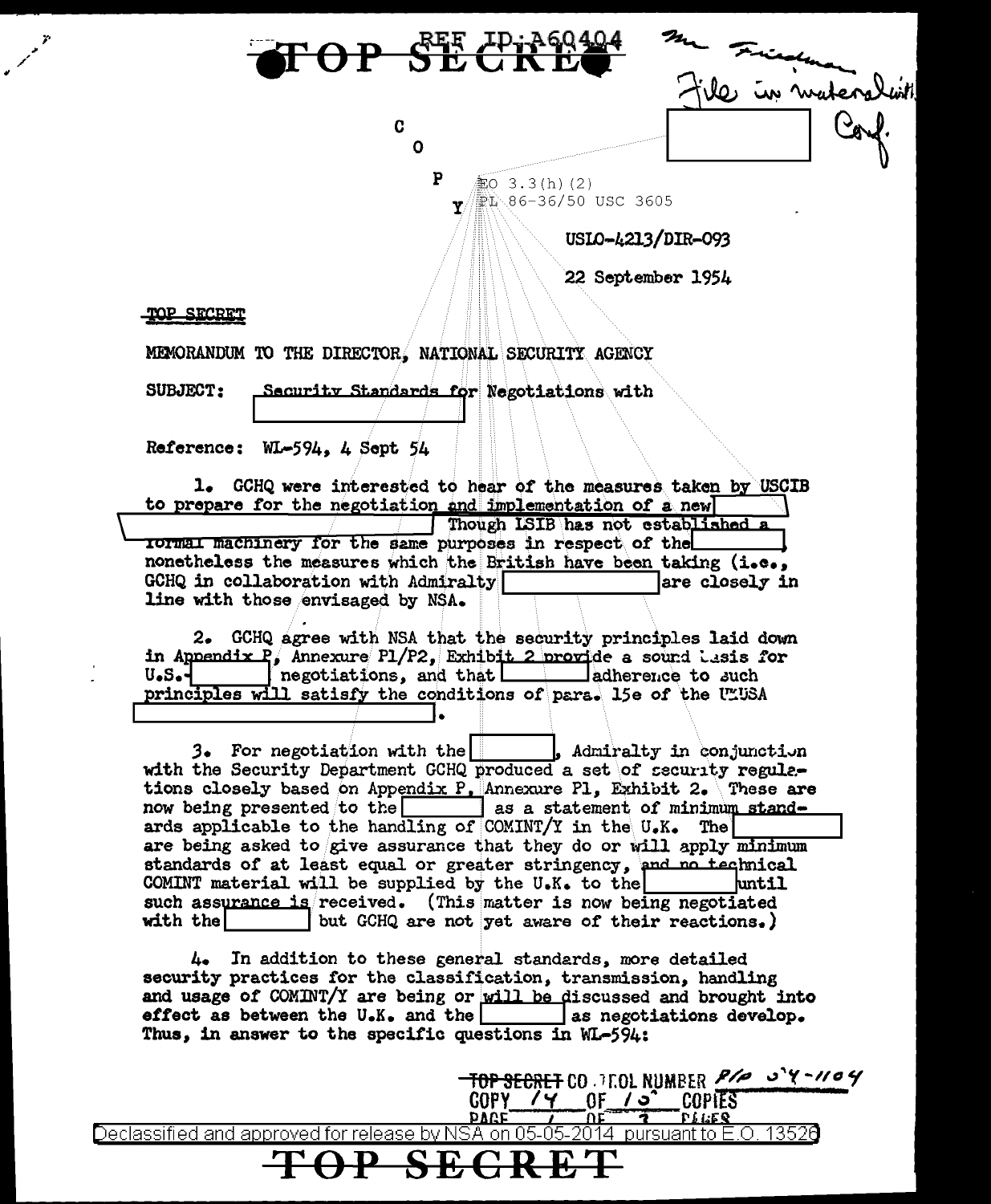

USIO-4213/DIR-093

22 September 1954

**TOP SECRET** CO. 7F.OL NUMBER  $P$ /a  $\sim$  Y - 1/a Y

4

'nı

**COPIES** 

TOP SECRET

MEMORANDUM TO THE DIRECTOR, NATIONAL SECURITY AGENCY

**SUBJECT:** Security Standards for Negotiations with

Reference: WL-594, 4 Sept 54

1. GCHQ were interested to hear of the measures taken by USCIB to prepare for the negotiation and implementation of a new Though ISIB has not established a TOTTHEL machinery for the same purposes in respect of the nonetheless the measures which the British have been taking (i.e., GCHQ in collaboration with Admiralty lare closely in line with those envisaged by NSA.

2. GCHQ agree with NSA that the security principles laid down in Appendix  $P_i$  Annexure P1/P2, Exhibit 2 provide a sound lasis for negotiations, and that adherence to such U.S.principles will satisfy the conditions of para. 15e of the ULUSA

3. For negotiation with the . Admiralty in conjunction with the Security Department GCHQ produced a set of security regulations closely based on Appendix P. Annexure Pl. Exhibit 2. These are now being presented to the as a statement of minimum standards applicable to the handling of COMINT/Y in the U.K. The are being asked to give assurance that they do or will apply minimum standards of at least equal or greater stringency, and no technical COMINT material will be supplied by the U.K. to the hmtil such assurance is received. (This matter is now being negotiated with the but GCHQ are not yet aware of their reactions.)

4. In addition to these general standards, more detailed security practices for the classification, transmission, handling and usage of COMINT/Y are being or will be discussed and brought into effect as between the U.K. and the as negotiations develop. Thus, in answer to the specific questions in WL-594:

 $GOPY$  /  $Y$ 

<u>DAGE</u> rileq Declassified and approved for release by NSA on 05-05-2014 pursuant to E.O. 13526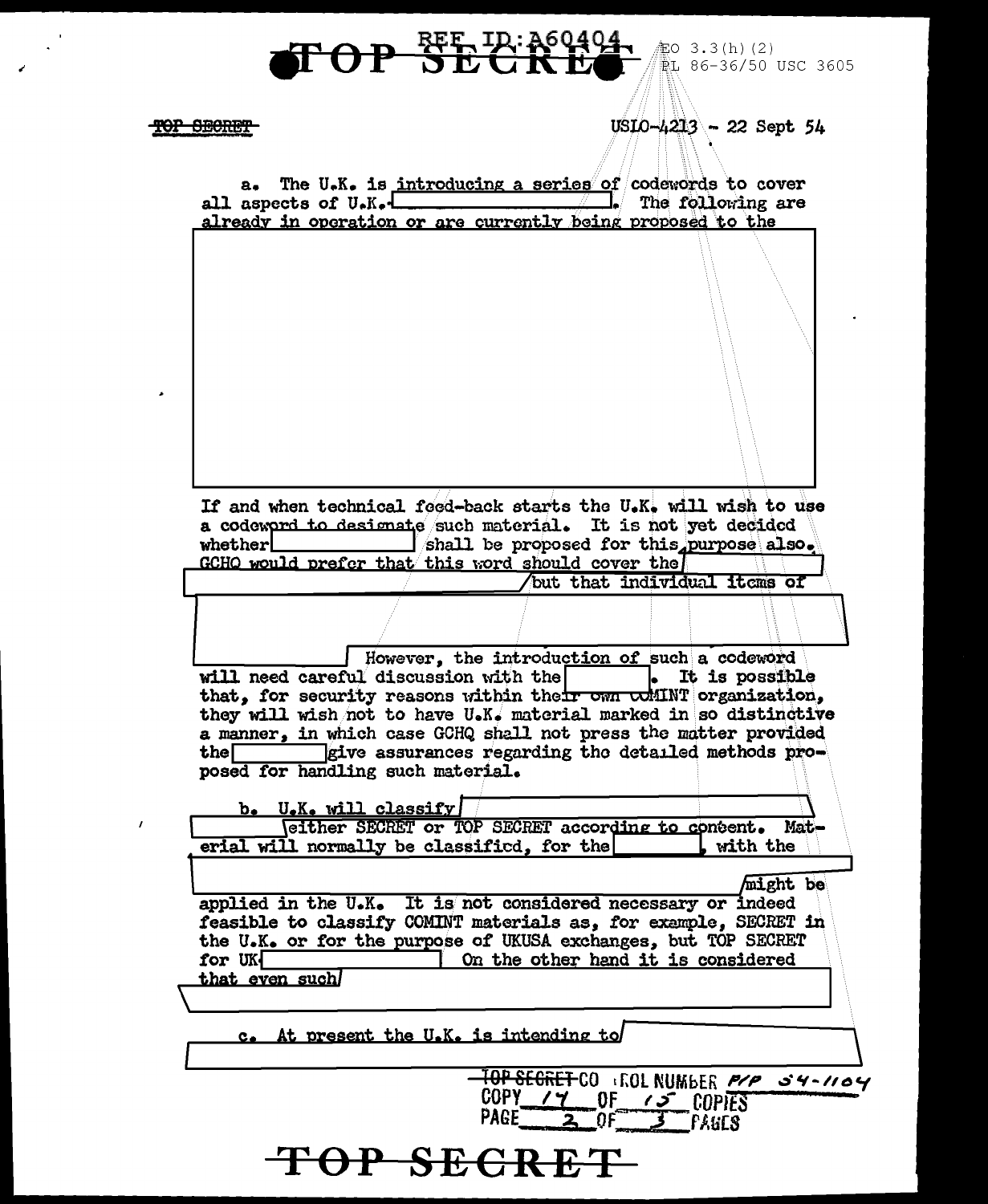$USLO - 4213 - 22$  Sept 54

TOP SECRET

 $\boldsymbol{I}$ 

 $\boldsymbol{\Theta}$ 

|                                            |                       | If and when technical foed-back starts the U.K. will wish to use                                                                      |                              |                |
|--------------------------------------------|-----------------------|---------------------------------------------------------------------------------------------------------------------------------------|------------------------------|----------------|
| whether $\mathrel{\mathsf{L}}$             |                       | a codeword to designate such material. It is not yet decided<br>shall be proposed for this purpose also.                              |                              |                |
|                                            |                       | GCHQ would prefer that this word should cover the                                                                                     |                              |                |
|                                            |                       |                                                                                                                                       | but that individual items of |                |
|                                            |                       |                                                                                                                                       |                              |                |
|                                            |                       | However, the introduction of such a codeword                                                                                          |                              |                |
| will need careful discussion with the      |                       |                                                                                                                                       |                              | It is possible |
|                                            |                       | that, for security reasons within their own whilNT organization,<br>they will wish not to have U.K. material marked in so distinctive |                              |                |
|                                            |                       | a manner, in which case GCHQ shall not press the matter provided                                                                      |                              |                |
| the $\Box$                                 |                       | give assurances regarding the detailed methods pro-                                                                                   |                              |                |
| posed for handling such material.          |                       |                                                                                                                                       |                              |                |
|                                            | b. U.K. will classify |                                                                                                                                       |                              |                |
| erial will normally be classified, for the |                       | Weither SECRET or TOP SECRET according to content. Mat-                                                                               |                              | with the       |
|                                            |                       |                                                                                                                                       |                              |                |
|                                            |                       |                                                                                                                                       |                              | might be       |
|                                            |                       | applied in the U.K. It is not considered necessary or indeed<br>feasible to classify COMINT materials as, for example, SECRET in      |                              |                |
|                                            |                       | the U.K. or for the purpose of UKUSA exchanges, but TOP SECRET                                                                        |                              |                |
| for UK                                     |                       | On the other hand it is considered                                                                                                    |                              |                |
| that even such/                            |                       |                                                                                                                                       |                              |                |
|                                            |                       |                                                                                                                                       |                              |                |
|                                            |                       | c. At present the U.K. is intending to                                                                                                |                              |                |
|                                            |                       |                                                                                                                                       |                              |                |
|                                            |                       | <del>IOP SEGRET</del> CO AROL NUMBER <i>P/P _S 4-1104</i>                                                                             |                              |                |
|                                            |                       | COPY 17 OF 15 COPIES                                                                                                                  |                              |                |
|                                            |                       |                                                                                                                                       |                              |                |
|                                            |                       | TOP SECRET                                                                                                                            |                              |                |
|                                            |                       |                                                                                                                                       |                              |                |

BEE TR: 260404

a. The U.K. is introducing a series of codewords to cover<br>all aspects of U.K. 1. The following are<br>already in operation or are currently being proposed to the